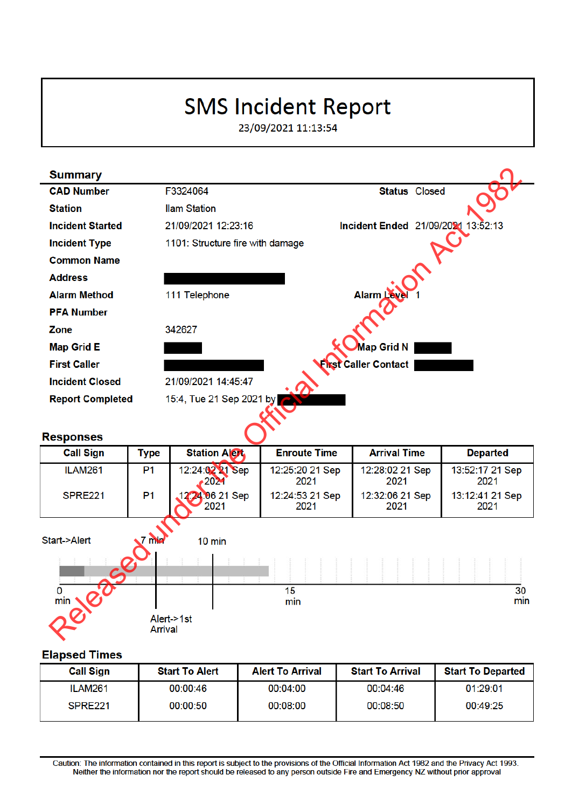# **SMS Incident Report**

23/09/2021 11:13:54



| <b>Call Sign</b>    | <b>Start To Alert</b> | <b>Alert To Arrival</b> | <b>Start To Arrival</b> | <b>Start To Departed</b> |
|---------------------|-----------------------|-------------------------|-------------------------|--------------------------|
| ILAM261             | 00:00:46              | 00:04:00                | 00:04:46                | 01:29:01                 |
| SPRE <sub>221</sub> | 00:00:50              | 00:08:00                | 00:08:50                | 00:49:25                 |

Caution: The information contained in this report is subject to the provisions of the Official Information Act 1982 and the Privacy Act 1993. Neither the information nor the report should be released to any person outside Fire and Emergency NZ without prior approval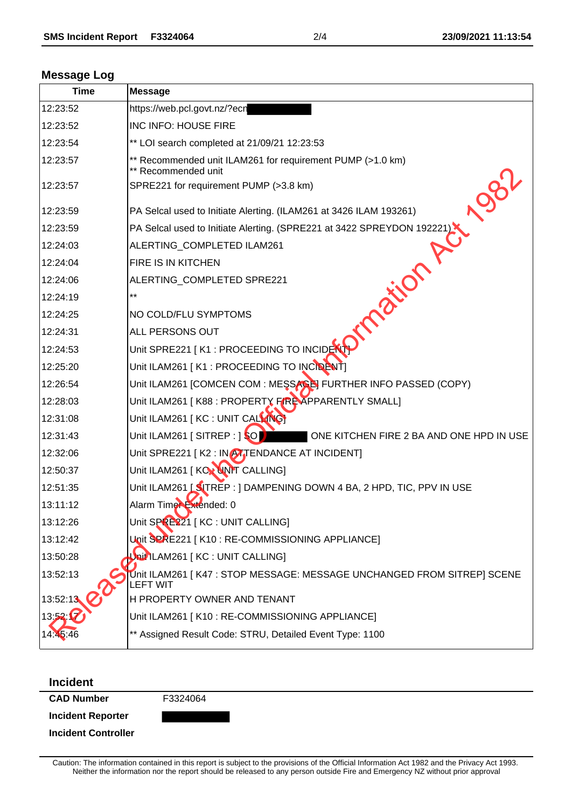### **Message Log**

| <b>Time</b> | <b>Message</b>                                                                             |
|-------------|--------------------------------------------------------------------------------------------|
| 12:23:52    | https://web.pcl.govt.nz/?ecn                                                               |
| 12:23:52    | INC INFO: HOUSE FIRE                                                                       |
| 12:23:54    | ** LOI search completed at 21/09/21 12:23:53                                               |
| 12:23:57    | ** Recommended unit ILAM261 for requirement PUMP (>1.0 km)<br>** Recommended unit          |
| 12:23:57    | <b>1981</b><br>SPRE221 for requirement PUMP (>3.8 km)                                      |
| 12:23:59    | PA Selcal used to Initiate Alerting. (ILAM261 at 3426 ILAM 193261)                         |
| 12:23:59    | PA Selcal used to Initiate Alerting. (SPRE221 at 3422 SPREYDON 192221)                     |
| 12:24:03    | ALERTING_COMPLETED ILAM261                                                                 |
| 12:24:04    | FIRE IS IN KITCHEN                                                                         |
| 12:24:06    | ALERTING COMPLETED SPRE221                                                                 |
| 12:24:19    | $***$                                                                                      |
| 12:24:25    | imported A<br>NO COLD/FLU SYMPTOMS                                                         |
| 12:24:31    | ALL PERSONS OUT                                                                            |
| 12:24:53    | Unit SPRE221   K1 : PROCEEDING TO INCIDENT                                                 |
| 12:25:20    | Unit ILAM261   K1 : PROCEEDING TO INCIDENT]                                                |
| 12:26:54    | Unit ILAM261 [COMCEN COM : MESSAGE] FURTHER INFO PASSED (COPY)                             |
| 12:28:03    | Unit ILAM261 [K88 : PROPERTY FIRE APPARENTLY SMALL]                                        |
| 12:31:08    | Unit ILAM261 [ KC : UNIT CALLING]                                                          |
| 12:31:43    | Unit ILAM261 [SITREP : ] SO<br>ONE KITCHEN FIRE 2 BA AND ONE HPD IN USE                    |
| 12:32:06    | Unit SPRE221 [K2 : IN ATTENDANCE AT INCIDENT]                                              |
| 12:50:37    | Unit ILAM261 [ KOX UNIT CALLING]                                                           |
| 12:51:35    | Unit ILAM261 [SITREP : ] DAMPENING DOWN 4 BA, 2 HPD, TIC, PPV IN USE                       |
| 13:11:12    | Alarm Timer Extended: 0                                                                    |
| 13:12:26    | Unit SPRE221 [KC : UNIT CALLING]                                                           |
| 13:12:42    | Unit SPRE221 [K10: RE-COMMISSIONING APPLIANCE]                                             |
| 13:50:28    | Unit ILAM261   KC : UNIT CALLING]                                                          |
| 13:52:13    | Unit ILAM261   K47 : STOP MESSAGE: MESSAGE UNCHANGED FROM SITREP] SCENE<br><b>LEFT WIT</b> |
| 13:52:13    | H PROPERTY OWNER AND TENANT                                                                |
|             | Unit ILAM261 [K10 : RE-COMMISSIONING APPLIANCE]                                            |
|             | ** Assigned Result Code: STRU, Detailed Event Type: 1100                                   |

#### **Incident**

**CAD Number** F3324064

**Incident Reporter**

**Incident Controller**

Caution: The information contained in this report is subject to the provisions of the Official Information Act 1982 and the Privacy Act 1993. Neither the information nor the report should be released to any person outside Fire and Emergency NZ without prior approval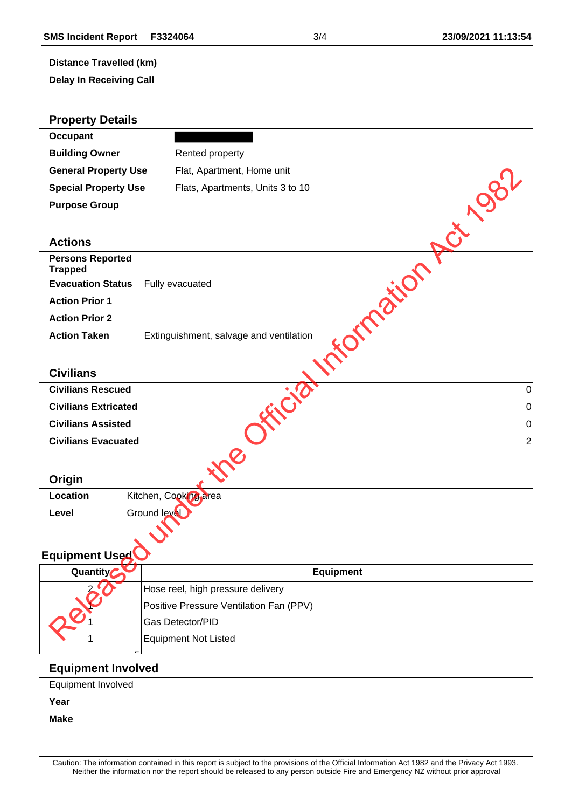## **Distance Travelled (km)**

**Delay In Receiving Call**

| <b>Property Details</b>                   |                                         |
|-------------------------------------------|-----------------------------------------|
| <b>Occupant</b>                           |                                         |
| <b>Building Owner</b>                     | Rented property                         |
| <b>General Property Use</b>               | Flat, Apartment, Home unit              |
| <b>Special Property Use</b>               | Flats, Apartments, Units 3 to 10        |
| <b>Purpose Group</b>                      |                                         |
|                                           |                                         |
| <b>Actions</b>                            | <b>1981</b>                             |
| <b>Persons Reported</b><br><b>Trapped</b> | Frigation                               |
| <b>Evacuation Status</b>                  | Fully evacuated                         |
| <b>Action Prior 1</b>                     |                                         |
| <b>Action Prior 2</b>                     |                                         |
| <b>Action Taken</b>                       | Extinguishment, salvage and ventilation |
|                                           |                                         |
| <b>Civilians</b>                          |                                         |
| <b>Civilians Rescued</b>                  | $\mathbf 0$                             |
| <b>Civilians Extricated</b>               | $\pmb{0}$                               |
| <b>Civilians Assisted</b>                 | $\mathbf 0$                             |
| <b>Civilians Evacuated</b>                | $\overline{2}$                          |
|                                           | ine.                                    |
| Origin                                    |                                         |
| Location                                  | Kitchen, Cooking area                   |
| Level                                     | Ground level                            |
|                                           |                                         |
| Equipment Used                            |                                         |
| Quantity                                  | <b>Equipment</b>                        |
|                                           | Hose reel, high pressure delivery       |
|                                           | Positive Pressure Ventilation Fan (PPV) |
| <b>PIRE</b>                               | Gas Detector/PID                        |
|                                           | <b>Equipment Not Listed</b>             |
| <b>Equipment Involved</b>                 |                                         |

Equipment Involved

**Year**

**Make**